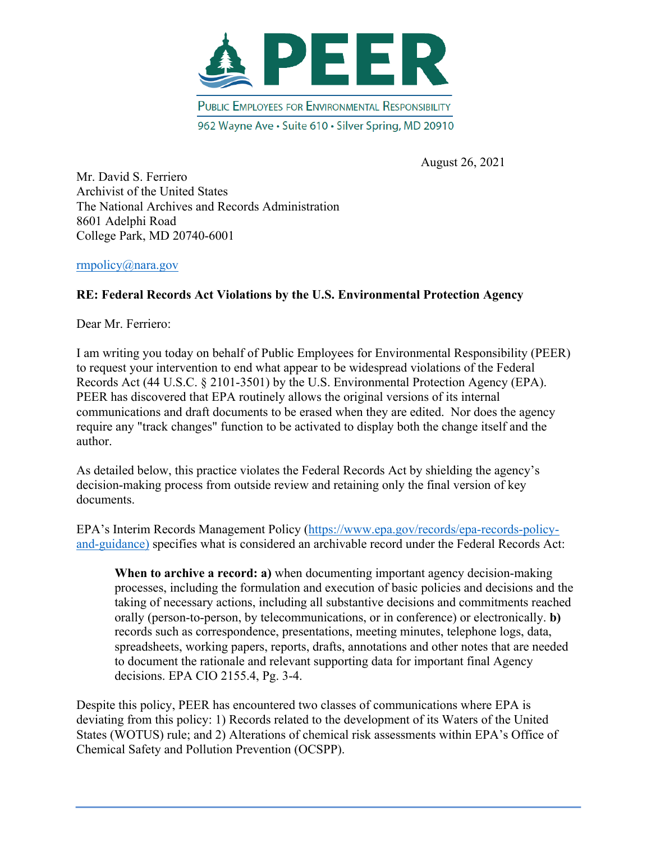

August 26, 2021

Mr. David S. Ferriero Archivist of the United States The National Archives and Records Administration 8601 Adelphi Road College Park, MD 20740-6001

## rmpolicy@nara.gov

## **RE: Federal Records Act Violations by the U.S. Environmental Protection Agency**

Dear Mr. Ferriero:

I am writing you today on behalf of Public Employees for Environmental Responsibility (PEER) to request your intervention to end what appear to be widespread violations of the Federal Records Act (44 U.S.C. § 2101-3501) by the U.S. Environmental Protection Agency (EPA). PEER has discovered that EPA routinely allows the original versions of its internal communications and draft documents to be erased when they are edited. Nor does the agency require any "track changes" function to be activated to display both the change itself and the author.

As detailed below, this practice violates the Federal Records Act by shielding the agency's decision-making process from outside review and retaining only the final version of key documents.

EPA's Interim Records Management Policy (https://www.epa.gov/records/epa-records-policyand-guidance) specifies what is considered an archivable record under the Federal Records Act:

**When to archive a record: a)** when documenting important agency decision-making processes, including the formulation and execution of basic policies and decisions and the taking of necessary actions, including all substantive decisions and commitments reached orally (person-to-person, by telecommunications, or in conference) or electronically. **b)**  records such as correspondence, presentations, meeting minutes, telephone logs, data, spreadsheets, working papers, reports, drafts, annotations and other notes that are needed to document the rationale and relevant supporting data for important final Agency decisions. EPA CIO 2155.4, Pg. 3-4.

Despite this policy, PEER has encountered two classes of communications where EPA is deviating from this policy: 1) Records related to the development of its Waters of the United States (WOTUS) rule; and 2) Alterations of chemical risk assessments within EPA's Office of Chemical Safety and Pollution Prevention (OCSPP).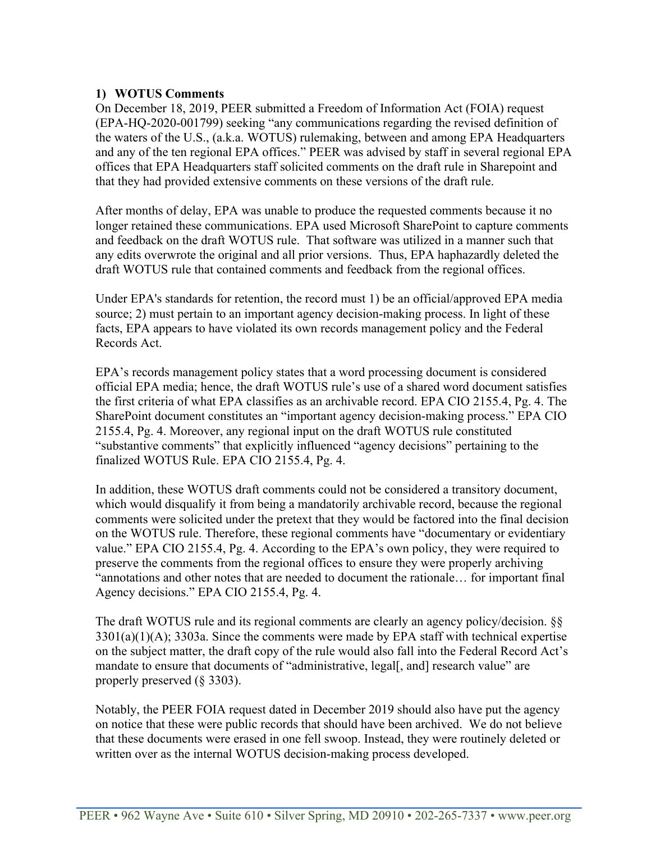## **1) WOTUS Comments**

On December 18, 2019, PEER submitted a Freedom of Information Act (FOIA) request (EPA-HQ-2020-001799) seeking "any communications regarding the revised definition of the waters of the U.S., (a.k.a. WOTUS) rulemaking, between and among EPA Headquarters and any of the ten regional EPA offices." PEER was advised by staff in several regional EPA offices that EPA Headquarters staff solicited comments on the draft rule in Sharepoint and that they had provided extensive comments on these versions of the draft rule.

After months of delay, EPA was unable to produce the requested comments because it no longer retained these communications. EPA used Microsoft SharePoint to capture comments and feedback on the draft WOTUS rule. That software was utilized in a manner such that any edits overwrote the original and all prior versions. Thus, EPA haphazardly deleted the draft WOTUS rule that contained comments and feedback from the regional offices.

Under EPA's standards for retention, the record must 1) be an official/approved EPA media source; 2) must pertain to an important agency decision-making process. In light of these facts, EPA appears to have violated its own records management policy and the Federal Records Act.

EPA's records management policy states that a word processing document is considered official EPA media; hence, the draft WOTUS rule's use of a shared word document satisfies the first criteria of what EPA classifies as an archivable record. EPA CIO 2155.4, Pg. 4. The SharePoint document constitutes an "important agency decision-making process." EPA CIO 2155.4, Pg. 4. Moreover, any regional input on the draft WOTUS rule constituted "substantive comments" that explicitly influenced "agency decisions" pertaining to the finalized WOTUS Rule. EPA CIO 2155.4, Pg. 4.

In addition, these WOTUS draft comments could not be considered a transitory document, which would disqualify it from being a mandatorily archivable record, because the regional comments were solicited under the pretext that they would be factored into the final decision on the WOTUS rule. Therefore, these regional comments have "documentary or evidentiary value." EPA CIO 2155.4, Pg. 4. According to the EPA's own policy, they were required to preserve the comments from the regional offices to ensure they were properly archiving "annotations and other notes that are needed to document the rationale… for important final Agency decisions." EPA CIO 2155.4, Pg. 4.

The draft WOTUS rule and its regional comments are clearly an agency policy/decision. §§ 3301(a)(1)(A); 3303a. Since the comments were made by EPA staff with technical expertise on the subject matter, the draft copy of the rule would also fall into the Federal Record Act's mandate to ensure that documents of "administrative, legal[, and] research value" are properly preserved (§ 3303).

Notably, the PEER FOIA request dated in December 2019 should also have put the agency on notice that these were public records that should have been archived. We do not believe that these documents were erased in one fell swoop. Instead, they were routinely deleted or written over as the internal WOTUS decision-making process developed.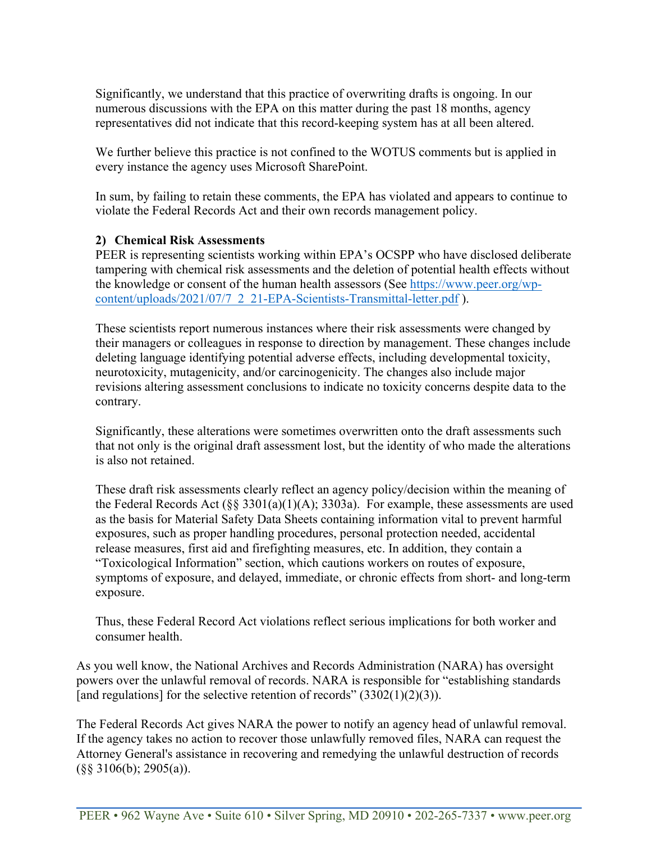Significantly, we understand that this practice of overwriting drafts is ongoing. In our numerous discussions with the EPA on this matter during the past 18 months, agency representatives did not indicate that this record-keeping system has at all been altered.

We further believe this practice is not confined to the WOTUS comments but is applied in every instance the agency uses Microsoft SharePoint.

In sum, by failing to retain these comments, the EPA has violated and appears to continue to violate the Federal Records Act and their own records management policy.

## **2) Chemical Risk Assessments**

PEER is representing scientists working within EPA's OCSPP who have disclosed deliberate tampering with chemical risk assessments and the deletion of potential health effects without the knowledge or consent of the human health assessors (See https://www.peer.org/wpcontent/uploads/2021/07/7\_2\_21-EPA-Scientists-Transmittal-letter.pdf ).

These scientists report numerous instances where their risk assessments were changed by their managers or colleagues in response to direction by management. These changes include deleting language identifying potential adverse effects, including developmental toxicity, neurotoxicity, mutagenicity, and/or carcinogenicity. The changes also include major revisions altering assessment conclusions to indicate no toxicity concerns despite data to the contrary.

Significantly, these alterations were sometimes overwritten onto the draft assessments such that not only is the original draft assessment lost, but the identity of who made the alterations is also not retained.

These draft risk assessments clearly reflect an agency policy/decision within the meaning of the Federal Records Act  $(\S \S 3301(a)(1)(A); 3303a)$ . For example, these assessments are used as the basis for Material Safety Data Sheets containing information vital to prevent harmful exposures, such as proper handling procedures, personal protection needed, accidental release measures, first aid and firefighting measures, etc. In addition, they contain a "Toxicological Information" section, which cautions workers on routes of exposure, symptoms of exposure, and delayed, immediate, or chronic effects from short- and long-term exposure.

Thus, these Federal Record Act violations reflect serious implications for both worker and consumer health.

As you well know, the National Archives and Records Administration (NARA) has oversight powers over the unlawful removal of records. NARA is responsible for "establishing standards [and regulations] for the selective retention of records"  $(3302(1)(2)(3))$ .

The Federal Records Act gives NARA the power to notify an agency head of unlawful removal. If the agency takes no action to recover those unlawfully removed files, NARA can request the Attorney General's assistance in recovering and remedying the unlawful destruction of records (§§ 3106(b); 2905(a)).